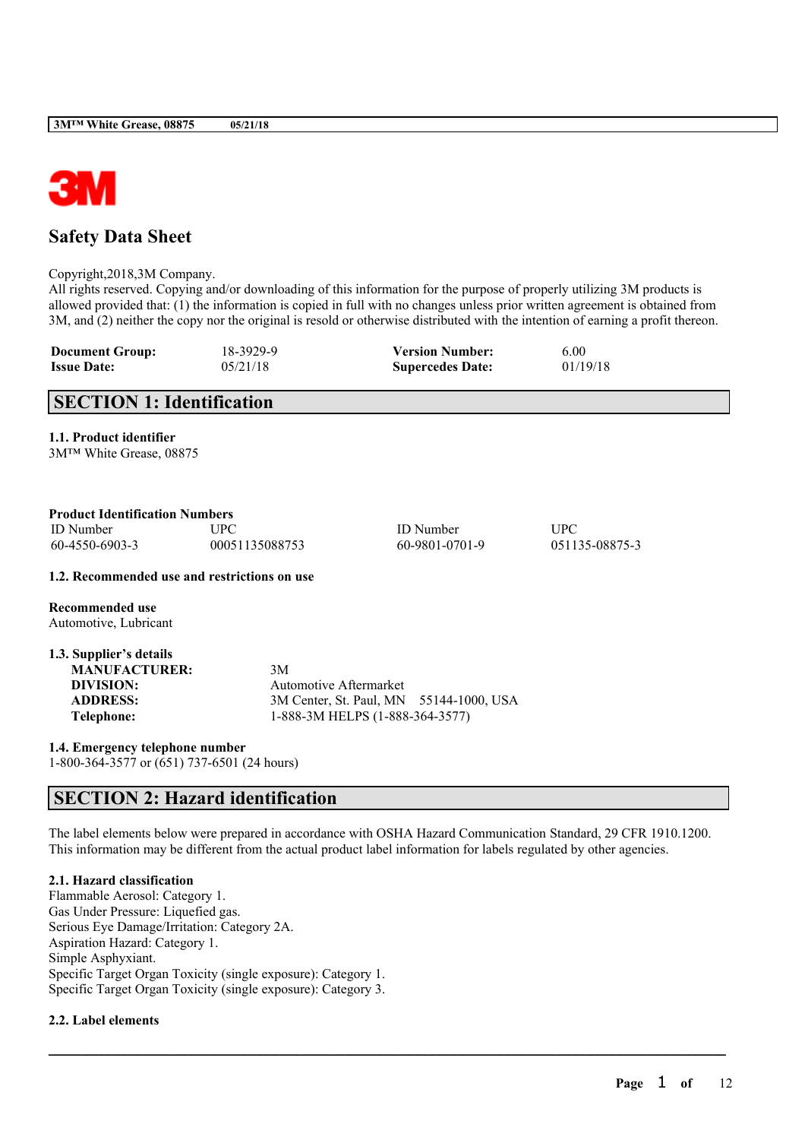

# **Safety Data Sheet**

Copyright,2018,3M Company.

All rights reserved. Copying and/or downloading of this information for the purpose of properly utilizing 3M products is allowed provided that: (1) the information is copied in full with no changes unless prior written agreement is obtained from 3M, and (2) neither the copy nor the original is resold or otherwise distributed with the intention of earning a profit thereon.

| <b>Document Group:</b> | 18-3929-9 | <b>Version Number:</b>  | 6.00     |
|------------------------|-----------|-------------------------|----------|
| <b>Issue Date:</b>     | 05/21/18  | <b>Supercedes Date:</b> | 01/19/18 |

# **SECTION 1: Identification**

**1.1. Product identifier**

3M™ White Grease, 08875

| <b>Product Identification Numbers</b> |                |                  |                |  |  |
|---------------------------------------|----------------|------------------|----------------|--|--|
| <b>ID</b> Number                      | <b>TIPC</b>    | <b>ID</b> Number | UPC            |  |  |
| 60-4550-6903-3                        | 00051135088753 | 60-9801-0701-9   | 051135-08875-3 |  |  |

**1.2. Recommended use and restrictions on use**

**Recommended use** Automotive, Lubricant

| 1.3. Supplier's details |                                         |
|-------------------------|-----------------------------------------|
| <b>MANUFACTURER:</b>    | 3M                                      |
| DIVISION:               | Automotive Aftermarket                  |
| <b>ADDRESS:</b>         | 3M Center, St. Paul, MN 55144-1000, USA |
| Telephone:              | 1-888-3M HELPS (1-888-364-3577)         |

**1.4. Emergency telephone number** 1-800-364-3577 or (651) 737-6501 (24 hours)

# **SECTION 2: Hazard identification**

The label elements below were prepared in accordance with OSHA Hazard Communication Standard, 29 CFR 1910.1200. This information may be different from the actual product label information for labels regulated by other agencies.

 $\mathcal{L}_\mathcal{L} = \mathcal{L}_\mathcal{L} = \mathcal{L}_\mathcal{L} = \mathcal{L}_\mathcal{L} = \mathcal{L}_\mathcal{L} = \mathcal{L}_\mathcal{L} = \mathcal{L}_\mathcal{L} = \mathcal{L}_\mathcal{L} = \mathcal{L}_\mathcal{L} = \mathcal{L}_\mathcal{L} = \mathcal{L}_\mathcal{L} = \mathcal{L}_\mathcal{L} = \mathcal{L}_\mathcal{L} = \mathcal{L}_\mathcal{L} = \mathcal{L}_\mathcal{L} = \mathcal{L}_\mathcal{L} = \mathcal{L}_\mathcal{L}$ 

## **2.1. Hazard classification**

Flammable Aerosol: Category 1. Gas Under Pressure: Liquefied gas. Serious Eye Damage/Irritation: Category 2A. Aspiration Hazard: Category 1. Simple Asphyxiant. Specific Target Organ Toxicity (single exposure): Category 1. Specific Target Organ Toxicity (single exposure): Category 3.

## **2.2. Label elements**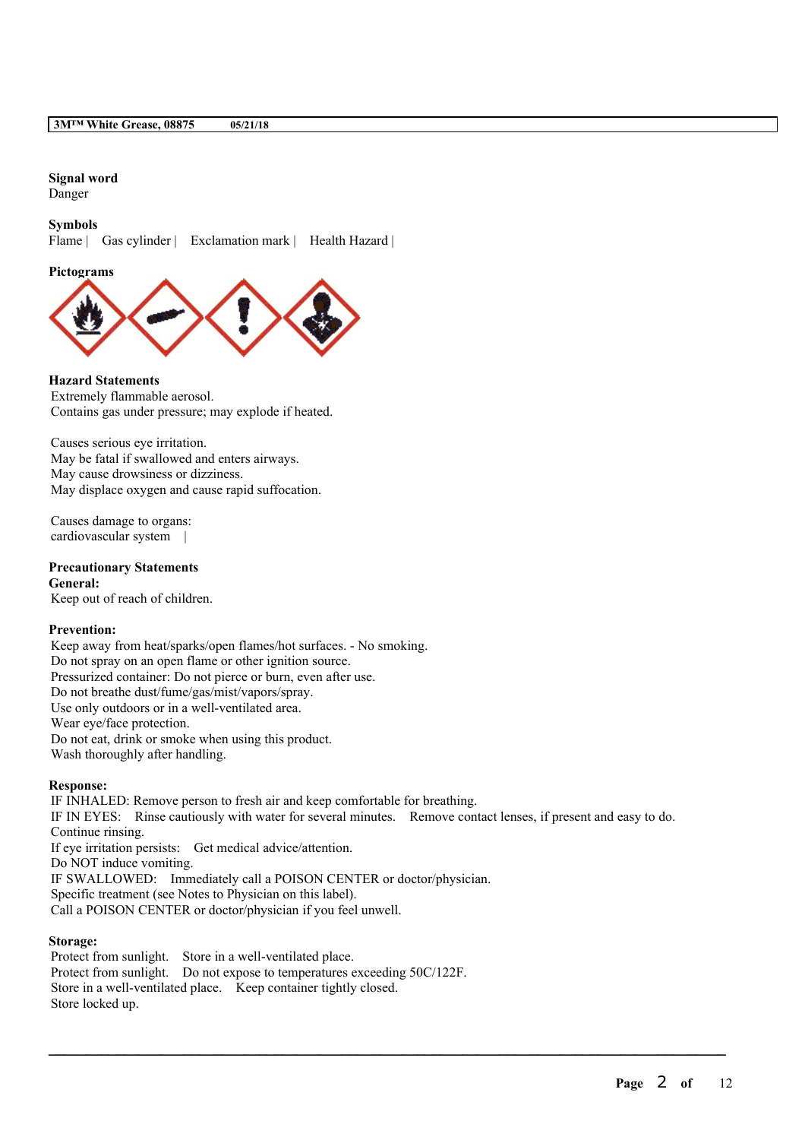## **Signal word**

Danger

### **Symbols**

Flame | Gas cylinder | Exclamation mark | Health Hazard |

#### **Pictograms**



## **Hazard Statements**

Extremely flammable aerosol. Contains gas under pressure; may explode if heated.

Causes serious eye irritation. May be fatal if swallowed and enters airways. May cause drowsiness or dizziness. May displace oxygen and cause rapid suffocation.

Causes damage to organs: cardiovascular system |

#### **Precautionary Statements General:**

Keep out of reach of children.

### **Prevention:**

Keep away from heat/sparks/open flames/hot surfaces. - No smoking. Do not spray on an open flame or other ignition source. Pressurized container: Do not pierce or burn, even after use. Do not breathe dust/fume/gas/mist/vapors/spray. Use only outdoors or in a well-ventilated area. Wear eye/face protection. Do not eat, drink or smoke when using this product. Wash thoroughly after handling.

### **Response:**

IF INHALED: Remove person to fresh air and keep comfortable for breathing. IF IN EYES: Rinse cautiously with water for several minutes. Remove contact lenses, if present and easy to do. Continue rinsing. If eye irritation persists: Get medical advice/attention. Do NOT induce vomiting. IF SWALLOWED: Immediately call a POISON CENTER or doctor/physician. Specific treatment (see Notes to Physician on this label). Call a POISON CENTER or doctor/physician if you feel unwell.

 $\mathcal{L}_\mathcal{L} = \mathcal{L}_\mathcal{L} = \mathcal{L}_\mathcal{L} = \mathcal{L}_\mathcal{L} = \mathcal{L}_\mathcal{L} = \mathcal{L}_\mathcal{L} = \mathcal{L}_\mathcal{L} = \mathcal{L}_\mathcal{L} = \mathcal{L}_\mathcal{L} = \mathcal{L}_\mathcal{L} = \mathcal{L}_\mathcal{L} = \mathcal{L}_\mathcal{L} = \mathcal{L}_\mathcal{L} = \mathcal{L}_\mathcal{L} = \mathcal{L}_\mathcal{L} = \mathcal{L}_\mathcal{L} = \mathcal{L}_\mathcal{L}$ 

### **Storage:**

Protect from sunlight. Store in a well-ventilated place. Protect from sunlight. Do not expose to temperatures exceeding 50C/122F. Store in a well-ventilated place. Keep container tightly closed. Store locked up.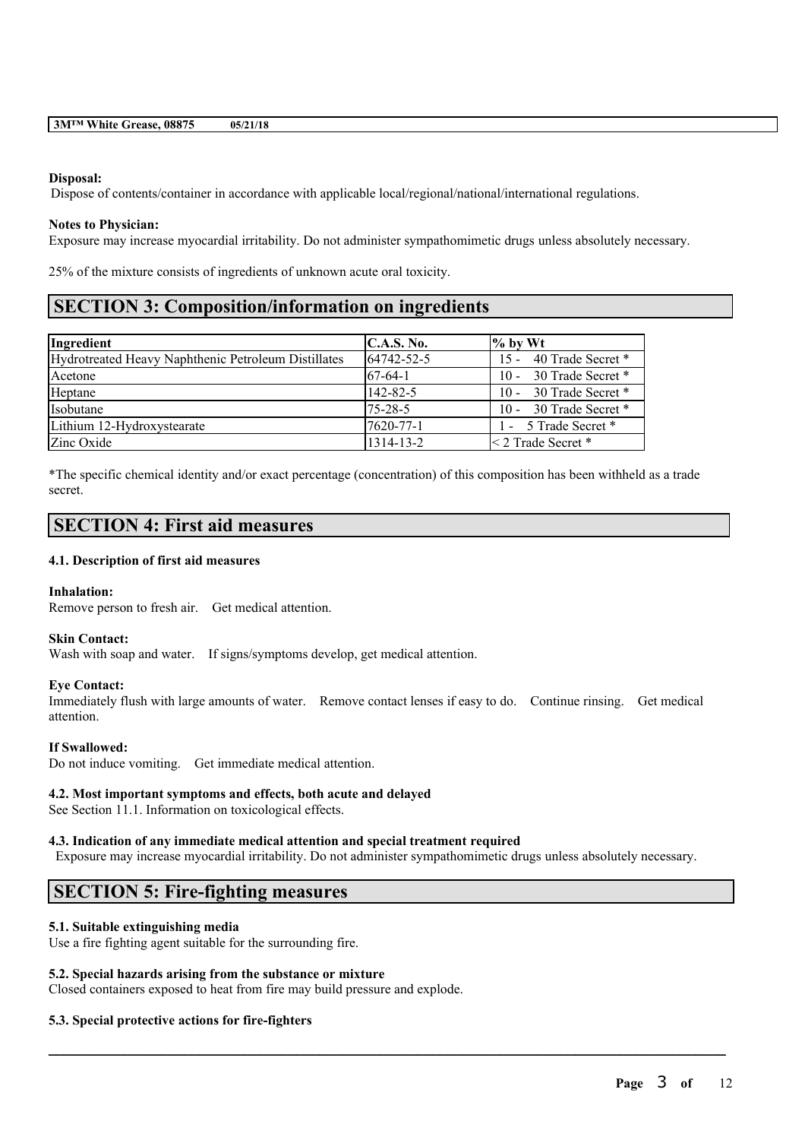### **Disposal:**

Dispose of contents/container in accordance with applicable local/regional/national/international regulations.

### **Notes to Physician:**

Exposure may increase myocardial irritability. Do not administer sympathomimetic drugs unless absolutely necessary.

25% of the mixture consists of ingredients of unknown acute oral toxicity.

# **SECTION 3: Composition/information on ingredients**

| Ingredient                                          | <b>C.A.S. No.</b> | $\%$ by Wt               |
|-----------------------------------------------------|-------------------|--------------------------|
| Hydrotreated Heavy Naphthenic Petroleum Distillates | $164742 - 52 - 5$ | 15 - 40 Trade Secret *   |
| Acetone                                             | $167-64-1$        | 10 - 30 Trade Secret $*$ |
| Heptane                                             | $142 - 82 - 5$    | 10 - 30 Trade Secret *   |
| <i>I</i> sobutane                                   | $75 - 28 - 5$     | 10 - 30 Trade Secret *   |
| Lithium 12-Hydroxystearate                          | 7620-77-1         | 1 - 5 Trade Secret *     |
| Zinc Oxide                                          | 1314-13-2         | $\leq$ 2 Trade Secret *  |

\*The specific chemical identity and/or exact percentage (concentration) of this composition has been withheld as a trade secret.

## **SECTION 4: First aid measures**

### **4.1. Description of first aid measures**

## **Inhalation:**

Remove person to fresh air. Get medical attention.

### **Skin Contact:**

Wash with soap and water. If signs/symptoms develop, get medical attention.

## **Eye Contact:**

Immediately flush with large amounts of water. Remove contact lenses if easy to do. Continue rinsing. Get medical attention.

## **If Swallowed:**

Do not induce vomiting. Get immediate medical attention.

### **4.2. Most important symptoms and effects, both acute and delayed**

See Section 11.1. Information on toxicological effects.

## **4.3. Indication of any immediate medical attention and special treatment required**

Exposure may increase myocardial irritability. Do not administer sympathomimetic drugs unless absolutely necessary.

 $\mathcal{L}_\mathcal{L} = \mathcal{L}_\mathcal{L} = \mathcal{L}_\mathcal{L} = \mathcal{L}_\mathcal{L} = \mathcal{L}_\mathcal{L} = \mathcal{L}_\mathcal{L} = \mathcal{L}_\mathcal{L} = \mathcal{L}_\mathcal{L} = \mathcal{L}_\mathcal{L} = \mathcal{L}_\mathcal{L} = \mathcal{L}_\mathcal{L} = \mathcal{L}_\mathcal{L} = \mathcal{L}_\mathcal{L} = \mathcal{L}_\mathcal{L} = \mathcal{L}_\mathcal{L} = \mathcal{L}_\mathcal{L} = \mathcal{L}_\mathcal{L}$ 

# **SECTION 5: Fire-fighting measures**

## **5.1. Suitable extinguishing media**

Use a fire fighting agent suitable for the surrounding fire.

### **5.2. Special hazards arising from the substance or mixture**

Closed containers exposed to heat from fire may build pressure and explode.

## **5.3. Special protective actions for fire-fighters**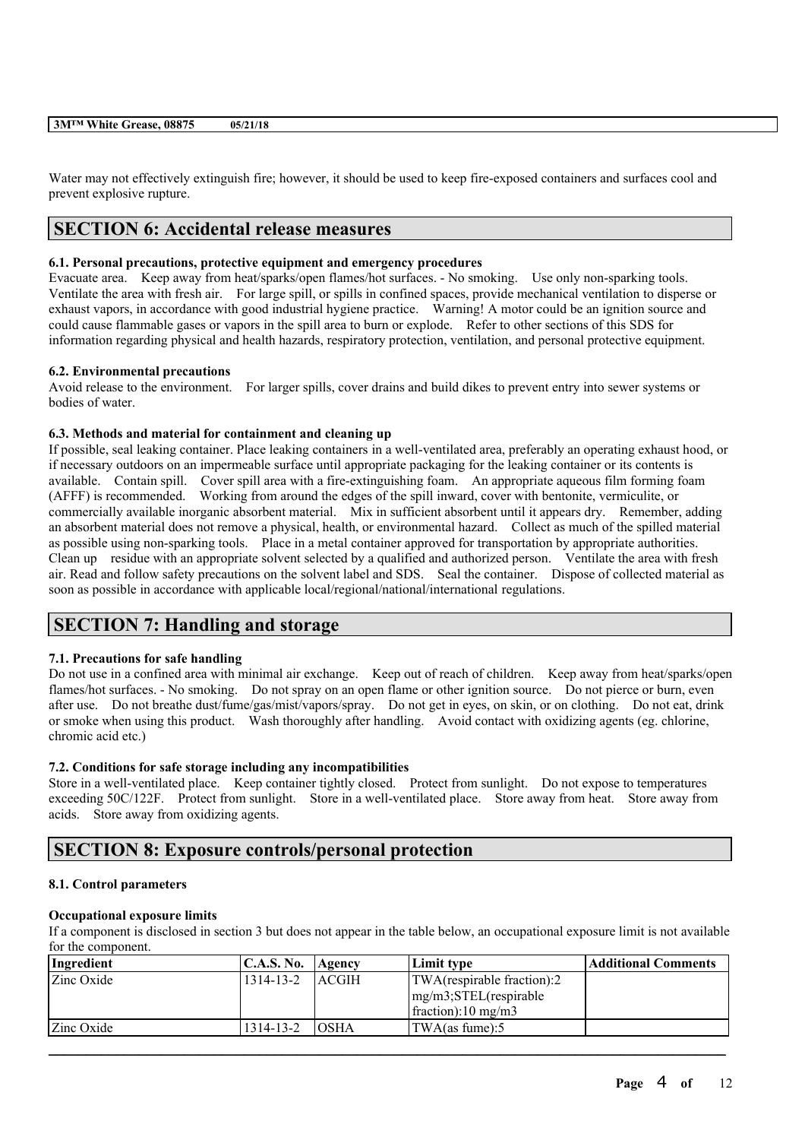Water may not effectively extinguish fire; however, it should be used to keep fire-exposed containers and surfaces cool and prevent explosive rupture.

# **SECTION 6: Accidental release measures**

## **6.1. Personal precautions, protective equipment and emergency procedures**

Evacuate area. Keep away from heat/sparks/open flames/hot surfaces. - No smoking. Use only non-sparking tools. Ventilate the area with fresh air. For large spill, or spills in confined spaces, provide mechanical ventilation to disperse or exhaust vapors, in accordance with good industrial hygiene practice. Warning! A motor could be an ignition source and could cause flammable gases or vapors in the spill area to burn or explode. Refer to other sections of this SDS for information regarding physical and health hazards, respiratory protection, ventilation, and personal protective equipment.

## **6.2. Environmental precautions**

Avoid release to the environment. For larger spills, cover drains and build dikes to prevent entry into sewer systems or bodies of water.

## **6.3. Methods and material for containment and cleaning up**

If possible, seal leaking container. Place leaking containers in a well-ventilated area, preferably an operating exhaust hood, or if necessary outdoors on an impermeable surface until appropriate packaging for the leaking container or its contents is available. Contain spill. Cover spill area with a fire-extinguishing foam. An appropriate aqueous film forming foam (AFFF) is recommended. Working from around the edges of the spill inward, cover with bentonite, vermiculite, or commercially available inorganic absorbent material. Mix in sufficient absorbent until it appears dry. Remember, adding an absorbent material does not remove a physical, health, or environmental hazard. Collect as much of the spilled material as possible using non-sparking tools. Place in a metal container approved for transportation by appropriate authorities. Clean up residue with an appropriate solvent selected by a qualified and authorized person. Ventilate the area with fresh air. Read and follow safety precautions on the solvent label and SDS. Seal the container. Dispose of collected material as soon as possible in accordance with applicable local/regional/national/international regulations.

# **SECTION 7: Handling and storage**

## **7.1. Precautions for safe handling**

Do not use in a confined area with minimal air exchange. Keep out of reach of children. Keep away from heat/sparks/open flames/hot surfaces. - No smoking. Do not spray on an open flame or other ignition source. Do not pierce or burn, even after use. Do not breathe dust/fume/gas/mist/vapors/spray. Do not get in eyes, on skin, or on clothing. Do not eat, drink or smoke when using this product. Wash thoroughly after handling. Avoid contact with oxidizing agents (eg. chlorine, chromic acid etc.)

## **7.2. Conditions for safe storage including any incompatibilities**

Store in a well-ventilated place. Keep container tightly closed. Protect from sunlight. Do not expose to temperatures exceeding 50C/122F. Protect from sunlight. Store in a well-ventilated place. Store away from heat. Store away from acids. Store away from oxidizing agents.

# **SECTION 8: Exposure controls/personal protection**

## **8.1. Control parameters**

## **Occupational exposure limits**

If a component is disclosed in section 3 but does not appear in the table below, an occupational exposure limit is not available for the component.

| Ingredient | <b>C.A.S. No.</b> | <b>Agency</b> | Limit type                 | Additional Comments |
|------------|-------------------|---------------|----------------------------|---------------------|
| Zinc Oxide | 1314-13-2         | <b>LACGIH</b> | TWA(respirable fraction):2 |                     |
|            |                   |               | $mg/m3$ ; STEL(respirable  |                     |
|            |                   |               | $frac{10 \text{ mg}}{m^3}$ |                     |
| Zinc Oxide | 1314-13-2         | <b>OSHA</b>   | TWA(as fume):5             |                     |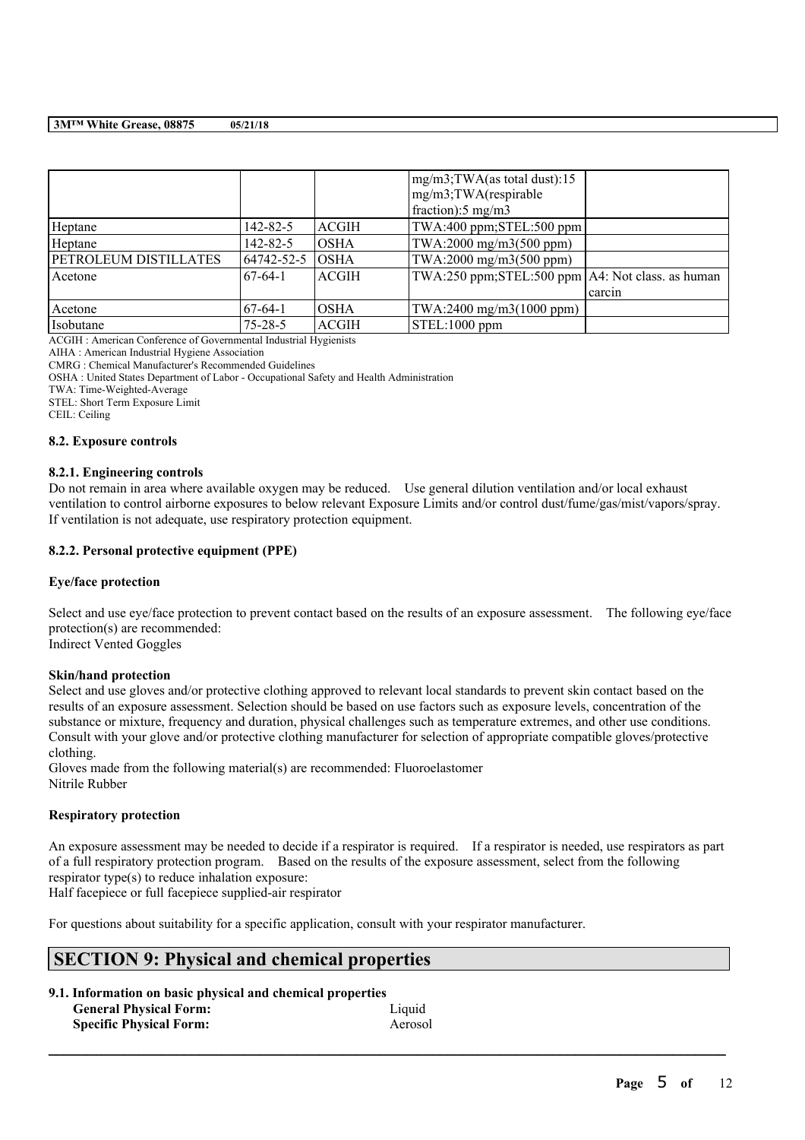|                              |               |              | $mg/m3$ ; TWA(as total dust): 15<br>mg/m3;TWA(respirable<br>fraction):5 mg/m3 |        |
|------------------------------|---------------|--------------|-------------------------------------------------------------------------------|--------|
| Heptane                      | 142-82-5      | <b>ACGIH</b> | TWA:400 ppm; STEL:500 ppm                                                     |        |
| Heptane                      | 142-82-5      | <b>OSHA</b>  | TWA:2000 mg/m3(500 ppm)                                                       |        |
| <b>PETROLEUM DISTILLATES</b> | 64742-52-5    | <b>OSHA</b>  | TWA:2000 mg/m3(500 ppm)                                                       |        |
| Acetone                      | $67-64-1$     | <b>ACGIH</b> | TWA:250 ppm;STEL:500 ppm   A4: Not class. as human                            |        |
|                              |               |              |                                                                               | carcin |
| Acetone                      | $67-64-1$     | <b>OSHA</b>  | TWA:2400 mg/m3(1000 ppm)                                                      |        |
| Isobutane                    | $75 - 28 - 5$ | <b>ACGIH</b> | $STEL:1000$ ppm                                                               |        |

ACGIH : American Conference of Governmental Industrial Hygienists

AIHA : American Industrial Hygiene Association

CMRG : Chemical Manufacturer's Recommended Guidelines

OSHA : United States Department of Labor - Occupational Safety and Health Administration

TWA: Time-Weighted-Average

STEL: Short Term Exposure Limit

CEIL: Ceiling

### **8.2. Exposure controls**

### **8.2.1. Engineering controls**

Do not remain in area where available oxygen may be reduced. Use general dilution ventilation and/or local exhaust ventilation to control airborne exposures to below relevant Exposure Limits and/or control dust/fume/gas/mist/vapors/spray. If ventilation is not adequate, use respiratory protection equipment.

### **8.2.2. Personal protective equipment (PPE)**

### **Eye/face protection**

Select and use eye/face protection to prevent contact based on the results of an exposure assessment. The following eye/face protection(s) are recommended: Indirect Vented Goggles

**Skin/hand protection**

Select and use gloves and/or protective clothing approved to relevant local standards to prevent skin contact based on the results of an exposure assessment. Selection should be based on use factors such as exposure levels, concentration of the substance or mixture, frequency and duration, physical challenges such as temperature extremes, and other use conditions. Consult with your glove and/or protective clothing manufacturer for selection of appropriate compatible gloves/protective clothing.

Gloves made from the following material(s) are recommended: Fluoroelastomer Nitrile Rubber

### **Respiratory protection**

An exposure assessment may be needed to decide if a respirator is required. If a respirator is needed, use respirators as part of a full respiratory protection program. Based on the results of the exposure assessment, select from the following respirator type(s) to reduce inhalation exposure:

 $\mathcal{L}_\mathcal{L} = \mathcal{L}_\mathcal{L} = \mathcal{L}_\mathcal{L} = \mathcal{L}_\mathcal{L} = \mathcal{L}_\mathcal{L} = \mathcal{L}_\mathcal{L} = \mathcal{L}_\mathcal{L} = \mathcal{L}_\mathcal{L} = \mathcal{L}_\mathcal{L} = \mathcal{L}_\mathcal{L} = \mathcal{L}_\mathcal{L} = \mathcal{L}_\mathcal{L} = \mathcal{L}_\mathcal{L} = \mathcal{L}_\mathcal{L} = \mathcal{L}_\mathcal{L} = \mathcal{L}_\mathcal{L} = \mathcal{L}_\mathcal{L}$ 

Half facepiece or full facepiece supplied-air respirator

For questions about suitability for a specific application, consult with your respirator manufacturer.

# **SECTION 9: Physical and chemical properties**

| 9.1. Information on basic physical and chemical properties |         |
|------------------------------------------------------------|---------|
| <b>General Physical Form:</b>                              | Liquid  |
| <b>Specific Physical Form:</b>                             | Aerosol |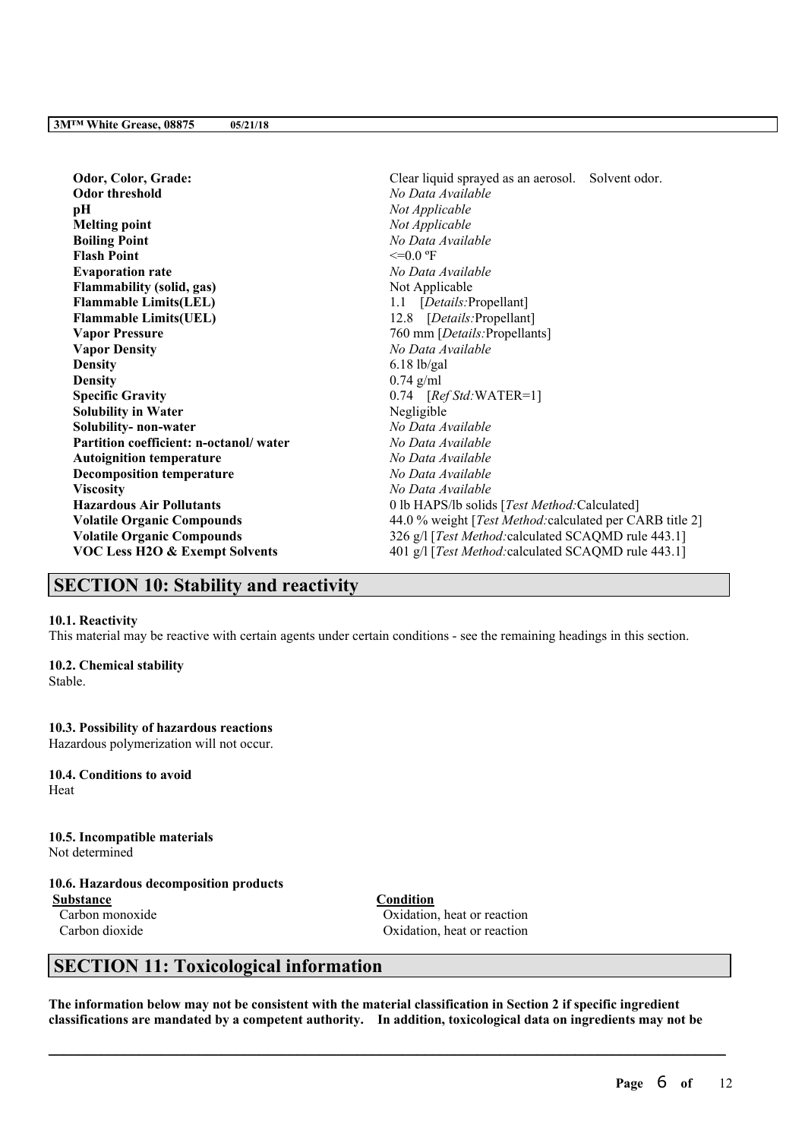| Odor, Color, Grade:                       | Clear liquid sprayed as an aerosol. Solvent odor.        |
|-------------------------------------------|----------------------------------------------------------|
| <b>Odor threshold</b>                     | No Data Available                                        |
| pН                                        | Not Applicable                                           |
| <b>Melting point</b>                      | Not Applicable                                           |
| <b>Boiling Point</b>                      | No Data Available                                        |
| <b>Flash Point</b>                        | $\leq=0.0$ °F                                            |
| <b>Evaporation rate</b>                   | No Data Available                                        |
| <b>Flammability (solid, gas)</b>          | Not Applicable                                           |
| <b>Flammable Limits(LEL)</b>              | 1.1 [Details: Propellant]                                |
| <b>Flammable Limits(UEL)</b>              | 12.8 [Details:Propellant]                                |
| <b>Vapor Pressure</b>                     | 760 mm [Details: Propellants]                            |
| <b>Vapor Density</b>                      | No Data Available                                        |
| <b>Density</b>                            | $6.18$ lb/gal                                            |
| <b>Density</b>                            | $0.74$ g/ml                                              |
| <b>Specific Gravity</b>                   | $0.74$ [Ref Std:WATER=1]                                 |
| <b>Solubility in Water</b>                | Negligible                                               |
| Solubility- non-water                     | No Data Available                                        |
| Partition coefficient: n-octanol/water    | No Data Available                                        |
| <b>Autoignition temperature</b>           | No Data Available                                        |
| <b>Decomposition temperature</b>          | No Data Available                                        |
| <b>Viscosity</b>                          | No Data Available                                        |
| <b>Hazardous Air Pollutants</b>           | 0 lb HAPS/lb solids [Test Method:Calculated]             |
| <b>Volatile Organic Compounds</b>         | 44.0 % weight [Test Method: calculated per CARB title 2] |
| <b>Volatile Organic Compounds</b>         | 326 g/l [Test Method: calculated SCAQMD rule 443.1]      |
| <b>VOC Less H2O &amp; Exempt Solvents</b> | 401 g/l [Test Method: calculated SCAQMD rule 443.1]      |
|                                           |                                                          |

# **SECTION 10: Stability and reactivity**

### **10.1. Reactivity**

This material may be reactive with certain agents under certain conditions - see the remaining headings in this section.

### **10.2. Chemical stability**

Stable.

### **10.3. Possibility of hazardous reactions**

Hazardous polymerization will not occur.

**10.4. Conditions to avoid** Heat

**10.5. Incompatible materials** Not determined

## **10.6. Hazardous decomposition products**

**Substance Condition**

Carbon monoxide Oxidation, heat or reaction Carbon dioxide Oxidation, heat or reaction

# **SECTION 11: Toxicological information**

The information below may not be consistent with the material classification in Section 2 if specific ingredient **classifications are mandated by a competent authority. In addition, toxicological data on ingredients may not be**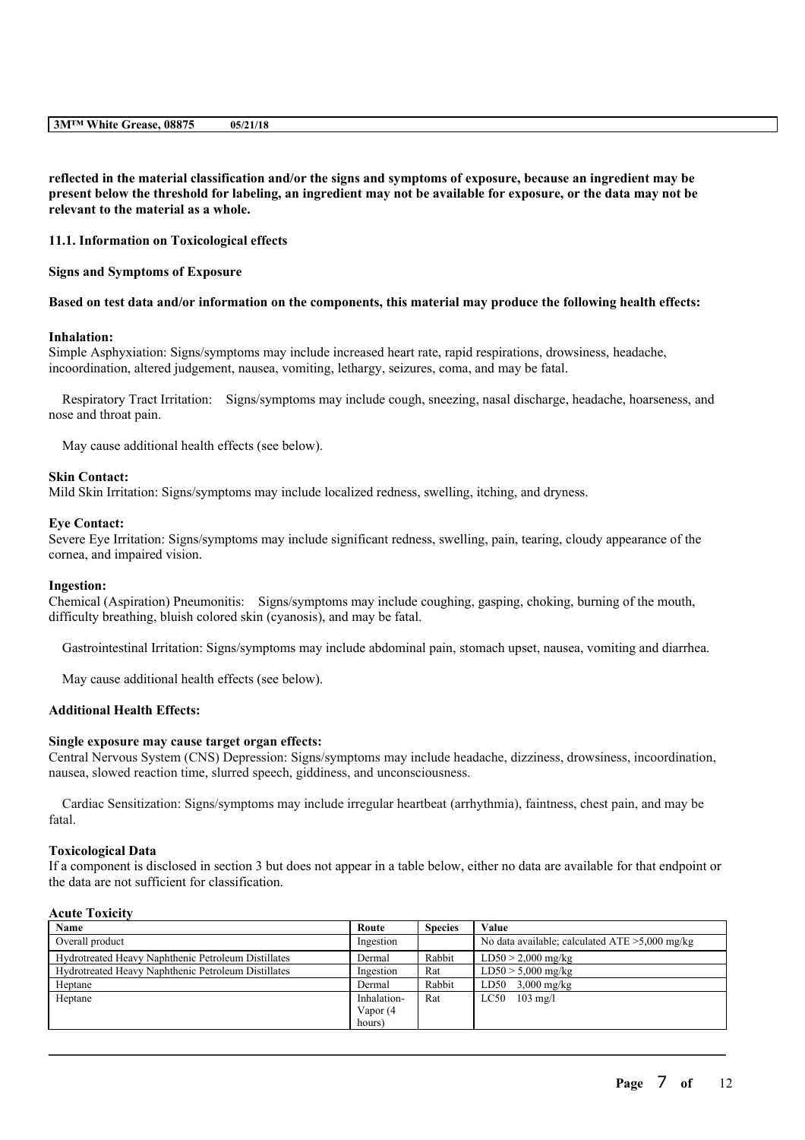reflected in the material classification and/or the signs and symptoms of exposure, because an ingredient may be present below the threshold for labeling, an ingredient may not be available for exposure, or the data may not be **relevant to the material as a whole.**

### **11.1. Information on Toxicological effects**

### **Signs and Symptoms of Exposure**

### Based on test data and/or information on the components, this material may produce the following health effects:

### **Inhalation:**

Simple Asphyxiation: Signs/symptoms may include increased heart rate, rapid respirations, drowsiness, headache, incoordination, altered judgement, nausea, vomiting, lethargy, seizures, coma, and may be fatal.

Respiratory Tract Irritation: Signs/symptoms may include cough, sneezing, nasal discharge, headache, hoarseness, and nose and throat pain.

May cause additional health effects (see below).

### **Skin Contact:**

Mild Skin Irritation: Signs/symptoms may include localized redness, swelling, itching, and dryness.

#### **Eye Contact:**

Severe Eye Irritation: Signs/symptoms may include significant redness, swelling, pain, tearing, cloudy appearance of the cornea, and impaired vision.

### **Ingestion:**

Chemical (Aspiration) Pneumonitis: Signs/symptoms may include coughing, gasping, choking, burning of the mouth, difficulty breathing, bluish colored skin (cyanosis), and may be fatal.

Gastrointestinal Irritation: Signs/symptoms may include abdominal pain, stomach upset, nausea, vomiting and diarrhea.

May cause additional health effects (see below).

### **Additional Health Effects:**

### **Single exposure may cause target organ effects:**

Central Nervous System (CNS) Depression: Signs/symptoms may include headache, dizziness, drowsiness, incoordination, nausea, slowed reaction time, slurred speech, giddiness, and unconsciousness.

Cardiac Sensitization: Signs/symptoms may include irregular heartbeat (arrhythmia), faintness, chest pain, and may be fatal.

### **Toxicological Data**

If a component is disclosed in section 3 but does not appear in a table below, either no data are available for that endpoint or the data are not sufficient for classification.

## **Acute Toxicity**

| Name                                                | Route       | <b>Species</b> | Value                                             |
|-----------------------------------------------------|-------------|----------------|---------------------------------------------------|
| Overall product                                     | Ingestion   |                | No data available; calculated $ATE > 5,000$ mg/kg |
| Hydrotreated Heavy Naphthenic Petroleum Distillates | Dermal      | Rabbit         | $LD50 > 2,000$ mg/kg                              |
| Hydrotreated Heavy Naphthenic Petroleum Distillates | Ingestion   | Rat            | $LD50 > 5,000$ mg/kg                              |
| Heptane                                             | Dermal      | Rabbit         | LD50 $3,000$ mg/kg                                |
| Heptane                                             | Inhalation- | Rat            | LC50<br>$103 \text{ mg/l}$                        |
|                                                     | Vapor (4    |                |                                                   |
|                                                     | hours)      |                |                                                   |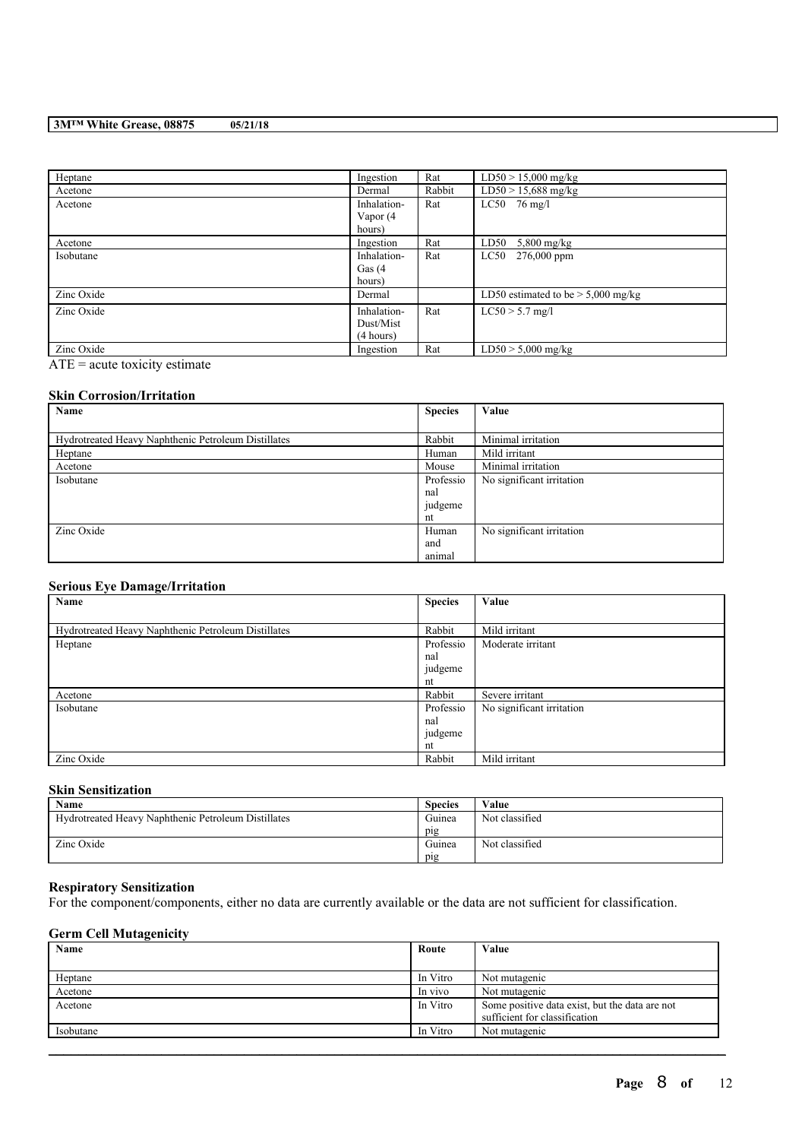| Heptane    | Ingestion                             | Rat    | $LD50 > 15,000$ mg/kg                |
|------------|---------------------------------------|--------|--------------------------------------|
| Acetone    | Dermal                                | Rabbit | $LD50 > 15,688$ mg/kg                |
| Acetone    | Inhalation-<br>Vapor (4<br>hours)     | Rat    | $LC50$ 76 mg/l                       |
| Acetone    | Ingestion                             | Rat    | LD50<br>$5,800$ mg/kg                |
| Isobutane  | Inhalation-<br>Gas $(4)$<br>hours)    | Rat    | $276,000$ ppm<br>$_{\rm LC50}$       |
| Zinc Oxide | Dermal                                |        | LD50 estimated to be $> 5,000$ mg/kg |
| Zinc Oxide | Inhalation-<br>Dust/Mist<br>(4 hours) | Rat    | $LC50 > 5.7$ mg/l                    |
| Zinc Oxide | Ingestion                             | Rat    | $LD50 > 5,000$ mg/kg                 |

 $\overline{ATE}$  = acute toxicity estimate

## **Skin Corrosion/Irritation**

| Name                                                | <b>Species</b> | Value                     |
|-----------------------------------------------------|----------------|---------------------------|
|                                                     |                |                           |
| Hydrotreated Heavy Naphthenic Petroleum Distillates | Rabbit         | Minimal irritation        |
| Heptane                                             | Human          | Mild irritant             |
| Acetone                                             | Mouse          | Minimal irritation        |
| Isobutane                                           | Professio      | No significant irritation |
|                                                     | nal            |                           |
|                                                     | judgeme        |                           |
|                                                     | nt             |                           |
| Zinc Oxide                                          | Human          | No significant irritation |
|                                                     | and            |                           |
|                                                     | animal         |                           |

## **Serious Eye Damage/Irritation**

| Name                                                | <b>Species</b> | Value                     |
|-----------------------------------------------------|----------------|---------------------------|
|                                                     |                |                           |
| Hydrotreated Heavy Naphthenic Petroleum Distillates | Rabbit         | Mild irritant             |
| Heptane                                             | Professio      | Moderate irritant         |
|                                                     | nal            |                           |
|                                                     | judgeme        |                           |
|                                                     | nt             |                           |
| Acetone                                             | Rabbit         | Severe irritant           |
| Isobutane                                           | Professio      | No significant irritation |
|                                                     | nal            |                           |
|                                                     | judgeme        |                           |
|                                                     | nt             |                           |
| Zinc Oxide                                          | Rabbit         | Mild irritant             |

## **Skin Sensitization**

| Name                                                | <b>Species</b> | Value          |
|-----------------------------------------------------|----------------|----------------|
| Hydrotreated Heavy Naphthenic Petroleum Distillates | Guinea         | Not classified |
|                                                     | pig            |                |
| Zinc Oxide                                          | Guinea         | Not classified |
|                                                     | pig            |                |

### **Respiratory Sensitization**

For the component/components, either no data are currently available or the data are not sufficient for classification.

## **Germ Cell Mutagenicity**

| Name      | Route    | Value                                          |
|-----------|----------|------------------------------------------------|
|           |          |                                                |
| Heptane   | In Vitro | Not mutagenic                                  |
| Acetone   | In vivo  | Not mutagenic                                  |
| Acetone   | In Vitro | Some positive data exist, but the data are not |
|           |          | sufficient for classification                  |
| Isobutane | In Vitro | Not mutagenic                                  |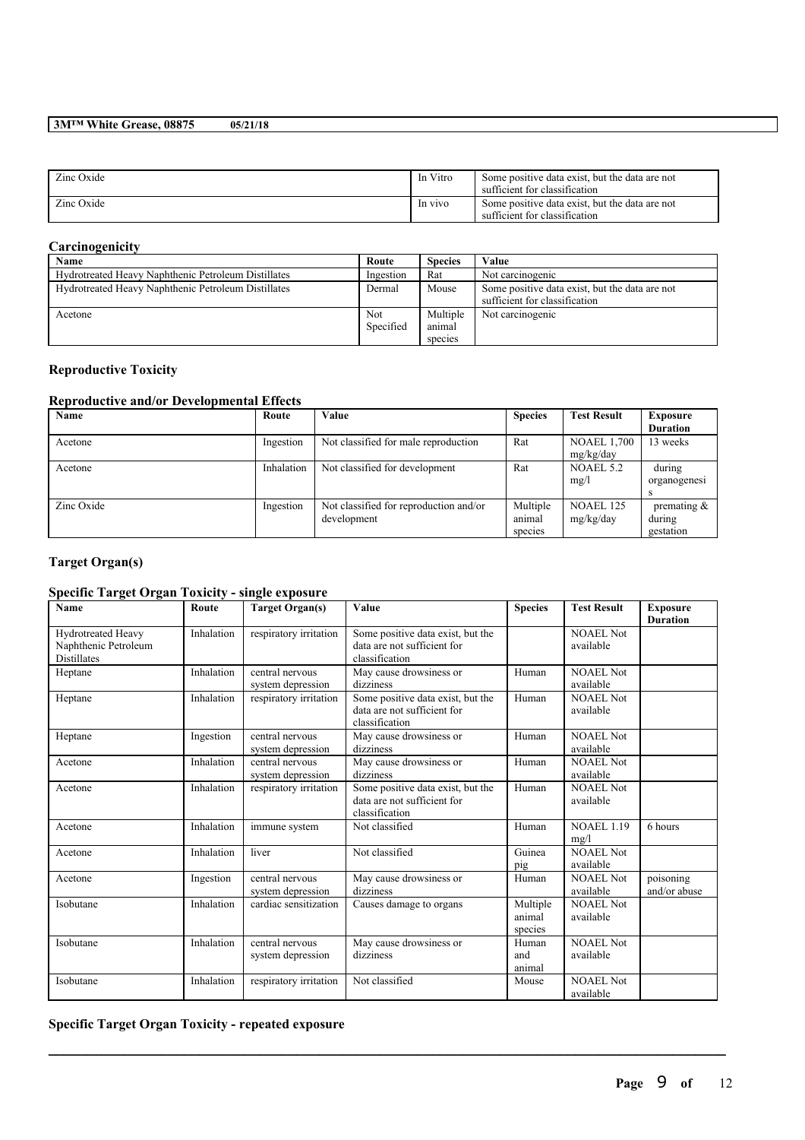| Zinc Oxide | In Vitro | Some positive data exist, but the data are not<br>sufficient for classification |
|------------|----------|---------------------------------------------------------------------------------|
| Zinc Oxide | In vivo  | Some positive data exist, but the data are not<br>sufficient for classification |

## **Carcinogenicity**

| Name                                                | Route      | <b>Species</b> | Value                                          |
|-----------------------------------------------------|------------|----------------|------------------------------------------------|
| Hydrotreated Heavy Naphthenic Petroleum Distillates | Ingestion  | Rat            | Not carcinogenic                               |
| Hydrotreated Heavy Naphthenic Petroleum Distillates | Dermal     | Mouse          | Some positive data exist, but the data are not |
|                                                     |            |                | sufficient for classification                  |
| Acetone                                             | <b>Not</b> | Multiple       | Not carcinogenic                               |
|                                                     | Specified  | animal         |                                                |
|                                                     |            | species        |                                                |

## **Reproductive Toxicity**

## **Reproductive and/or Developmental Effects**

| Name       | Route      | Value                                  | <b>Species</b> | <b>Test Result</b> | <b>Exposure</b> |
|------------|------------|----------------------------------------|----------------|--------------------|-----------------|
|            |            |                                        |                |                    | <b>Duration</b> |
| Acetone    | Ingestion  | Not classified for male reproduction   | Rat            | <b>NOAEL 1,700</b> | 13 weeks        |
|            |            |                                        |                | mg/kg/day          |                 |
| Acetone    | Inhalation | Not classified for development         | Rat            | NOAEL 5.2          | during          |
|            |            |                                        |                | mg/l               | organogenesi    |
|            |            |                                        |                |                    |                 |
| Zinc Oxide | Ingestion  | Not classified for reproduction and/or | Multiple       | NOAEL 125          | premating $\&$  |
|            |            | development                            | animal         | mg/kg/day          | during          |
|            |            |                                        | species        |                    | gestation       |

# **Target Organ(s)**

# **Specific Target Organ Toxicity - single exposure**

| Name                                                             | Route      | <b>Target Organ(s)</b>               | Value                                                                              | <b>Species</b>                | <b>Test Result</b>            | <b>Exposure</b><br><b>Duration</b> |
|------------------------------------------------------------------|------------|--------------------------------------|------------------------------------------------------------------------------------|-------------------------------|-------------------------------|------------------------------------|
| Hydrotreated Heavy<br>Naphthenic Petroleum<br><b>Distillates</b> | Inhalation | respiratory irritation               | Some positive data exist, but the<br>data are not sufficient for<br>classification |                               | NOAEL Not<br>available        |                                    |
| Heptane                                                          | Inhalation | central nervous<br>system depression | May cause drowsiness or<br>dizziness                                               | Human                         | <b>NOAEL Not</b><br>available |                                    |
| Heptane                                                          | Inhalation | respiratory irritation               | Some positive data exist, but the<br>data are not sufficient for<br>classification | Human                         | <b>NOAEL Not</b><br>available |                                    |
| Heptane                                                          | Ingestion  | central nervous<br>system depression | May cause drowsiness or<br>dizziness                                               | Human                         | <b>NOAEL Not</b><br>available |                                    |
| Acetone                                                          | Inhalation | central nervous<br>system depression | May cause drowsiness or<br>dizziness                                               | Human                         | <b>NOAEL Not</b><br>available |                                    |
| Acetone                                                          | Inhalation | respiratory irritation               | Some positive data exist, but the<br>data are not sufficient for<br>classification | Human                         | NOAEL Not<br>available        |                                    |
| Acetone                                                          | Inhalation | immune system                        | Not classified                                                                     | Human                         | <b>NOAEL 1.19</b><br>mg/l     | 6 hours                            |
| Acetone                                                          | Inhalation | liver                                | Not classified                                                                     | Guinea<br>pig                 | NOAEL Not<br>available        |                                    |
| Acetone                                                          | Ingestion  | central nervous<br>system depression | May cause drowsiness or<br>dizziness                                               | Human                         | <b>NOAEL Not</b><br>available | poisoning<br>and/or abuse          |
| Isobutane                                                        | Inhalation | cardiac sensitization                | Causes damage to organs                                                            | Multiple<br>animal<br>species | NOAEL Not<br>available        |                                    |
| Isobutane                                                        | Inhalation | central nervous<br>system depression | May cause drowsiness or<br>dizziness                                               | Human<br>and<br>animal        | NOAEL Not<br>available        |                                    |
| Isobutane                                                        | Inhalation | respiratory irritation               | Not classified                                                                     | Mouse                         | <b>NOAEL Not</b><br>available |                                    |

 $\mathcal{L}_\mathcal{L} = \mathcal{L}_\mathcal{L} = \mathcal{L}_\mathcal{L} = \mathcal{L}_\mathcal{L} = \mathcal{L}_\mathcal{L} = \mathcal{L}_\mathcal{L} = \mathcal{L}_\mathcal{L} = \mathcal{L}_\mathcal{L} = \mathcal{L}_\mathcal{L} = \mathcal{L}_\mathcal{L} = \mathcal{L}_\mathcal{L} = \mathcal{L}_\mathcal{L} = \mathcal{L}_\mathcal{L} = \mathcal{L}_\mathcal{L} = \mathcal{L}_\mathcal{L} = \mathcal{L}_\mathcal{L} = \mathcal{L}_\mathcal{L}$ 

## **Specific Target Organ Toxicity - repeated exposure**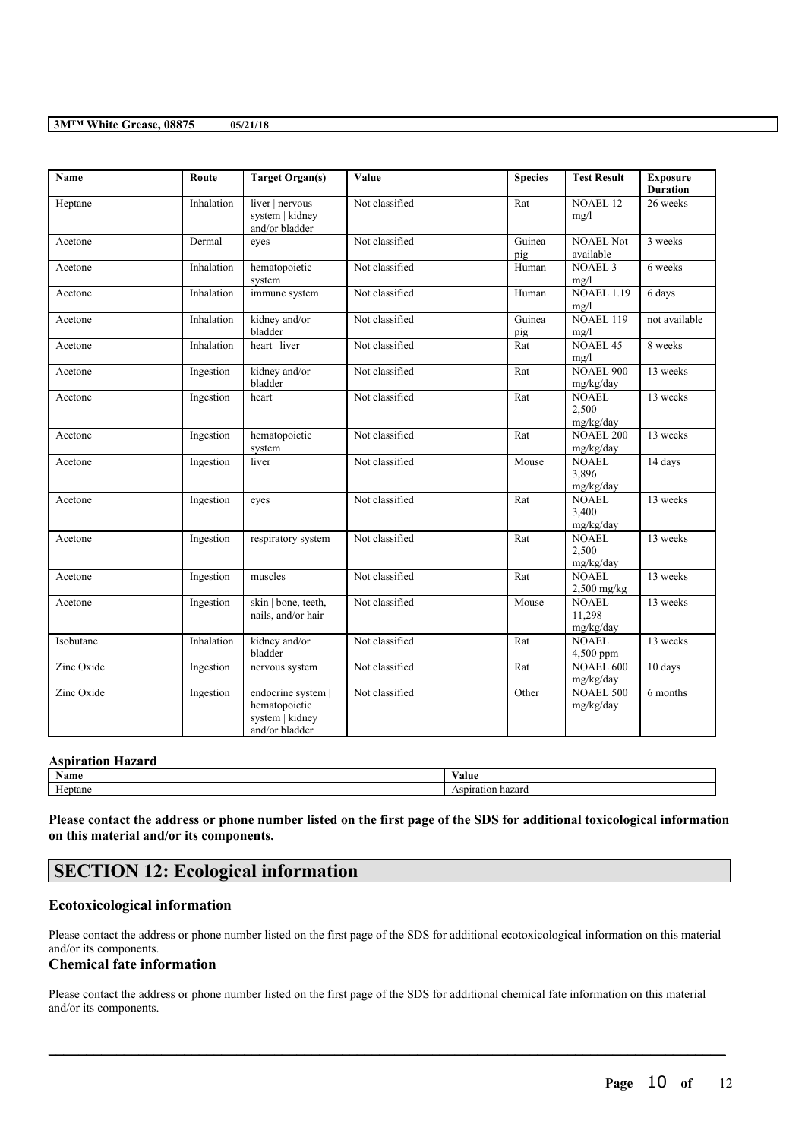| <b>Name</b> | Route      | <b>Target Organ(s)</b>                                                   | Value          | <b>Species</b> | <b>Test Result</b>                  | <b>Exposure</b><br><b>Duration</b> |
|-------------|------------|--------------------------------------------------------------------------|----------------|----------------|-------------------------------------|------------------------------------|
| Heptane     | Inhalation | liver   nervous<br>system   kidney<br>and/or bladder                     | Not classified | Rat            | <b>NOAEL 12</b><br>mg/l             | 26 weeks                           |
| Acetone     | Dermal     | eves                                                                     | Not classified | Guinea<br>pig  | <b>NOAEL Not</b><br>available       | 3 weeks                            |
| Acetone     | Inhalation | hematopoietic<br>system                                                  | Not classified | Human          | <b>NOAEL 3</b><br>mg/l              | 6 weeks                            |
| Acetone     | Inhalation | immune system                                                            | Not classified | Human          | <b>NOAEL 1.19</b><br>mg/l           | 6 days                             |
| Acetone     | Inhalation | kidney and/or<br>bladder                                                 | Not classified | Guinea<br>pig  | <b>NOAEL 119</b><br>mg/l            | not available                      |
| Acetone     | Inhalation | heart   liver                                                            | Not classified | Rat            | <b>NOAEL 45</b><br>mg/l             | 8 weeks                            |
| Acetone     | Ingestion  | kidney and/or<br>bladder                                                 | Not classified | Rat            | <b>NOAEL 900</b><br>mg/kg/day       | 13 weeks                           |
| Acetone     | Ingestion  | heart                                                                    | Not classified | $\bar{R}$ at   | <b>NOAEL</b><br>2,500<br>mg/kg/day  | 13 weeks                           |
| Acetone     | Ingestion  | hematopoietic<br>system                                                  | Not classified | Rat            | <b>NOAEL 200</b><br>mg/kg/day       | 13 weeks                           |
| Acetone     | Ingestion  | liver                                                                    | Not classified | Mouse          | <b>NOAEL</b><br>3,896<br>mg/kg/day  | 14 days                            |
| Acetone     | Ingestion  | eyes                                                                     | Not classified | Rat            | <b>NOAEL</b><br>3,400<br>mg/kg/day  | 13 weeks                           |
| Acetone     | Ingestion  | respiratory system                                                       | Not classified | Rat            | <b>NOAEL</b><br>2,500<br>mg/kg/day  | 13 weeks                           |
| Acetone     | Ingestion  | muscles                                                                  | Not classified | Rat            | NOAEL.<br>2,500 mg/kg               | 13 weeks                           |
| Acetone     | Ingestion  | skin   bone, teeth,<br>nails, and/or hair                                | Not classified | Mouse          | <b>NOAEL</b><br>11,298<br>mg/kg/day | 13 weeks                           |
| Isobutane   | Inhalation | kidney and/or<br>bladder                                                 | Not classified | Rat            | <b>NOAEL</b><br>4,500 ppm           | 13 weeks                           |
| Zinc Oxide  | Ingestion  | nervous system                                                           | Not classified | Rat            | <b>NOAEL 600</b><br>mg/kg/day       | 10 days                            |
| Zinc Oxide  | Ingestion  | endocrine system  <br>hematopoietic<br>system   kidney<br>and/or bladder | Not classified | Other          | <b>NOAEL 500</b><br>mg/kg/day       | 6 months                           |

| <b>Aspiration Hazard</b> |                                     |
|--------------------------|-------------------------------------|
| Name                     | Value                               |
| Heptane                  | .rafior<br>ı hazard<br>SDH<br>יוכב. |

Please contact the address or phone number listed on the first page of the SDS for additional toxicological information **on this material and/or its components.**

# **SECTION 12: Ecological information**

## **Ecotoxicological information**

Please contact the address or phone number listed on the first page of the SDS for additional ecotoxicological information on this material and/or its components.

## **Chemical fate information**

Please contact the address or phone number listed on the first page of the SDS for additional chemical fate information on this material and/or its components.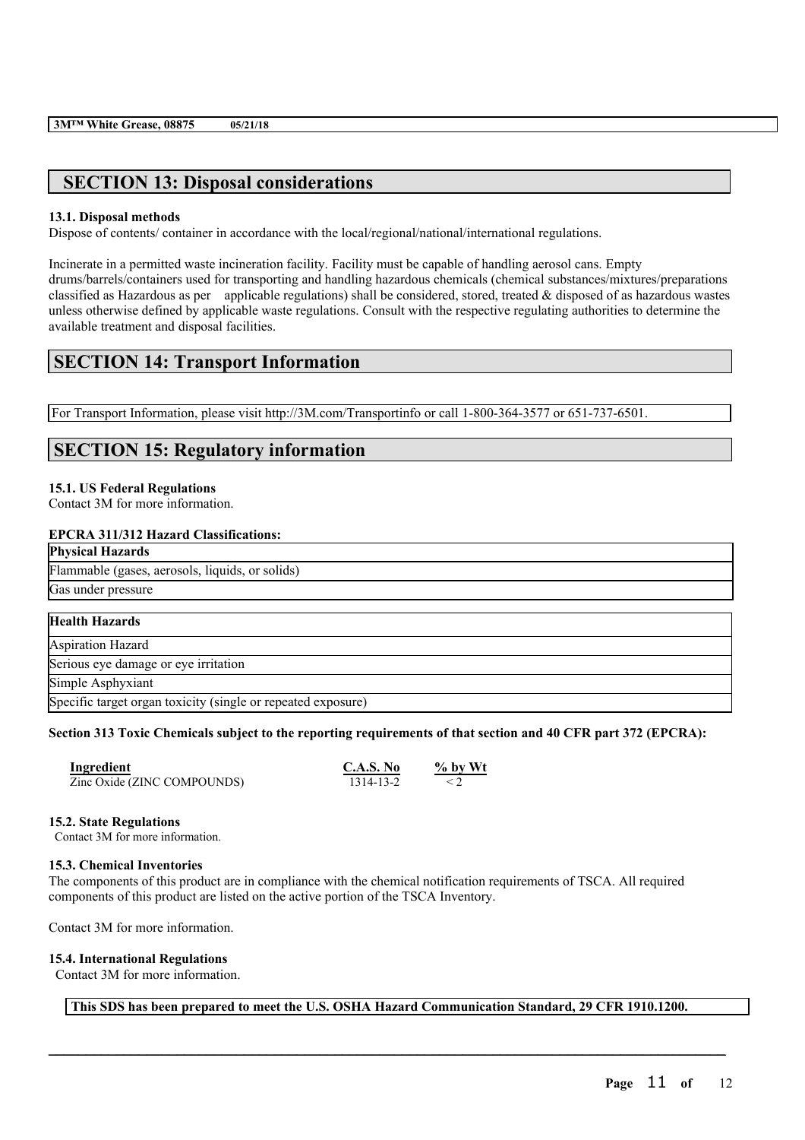# **SECTION 13: Disposal considerations**

### **13.1. Disposal methods**

Dispose of contents/ container in accordance with the local/regional/national/international regulations.

Incinerate in a permitted waste incineration facility. Facility must be capable of handling aerosol cans. Empty drums/barrels/containers used for transporting and handling hazardous chemicals (chemical substances/mixtures/preparations classified as Hazardous as per applicable regulations) shall be considered, stored, treated  $\&$  disposed of as hazardous wastes unless otherwise defined by applicable waste regulations. Consult with the respective regulating authorities to determine the available treatment and disposal facilities.

# **SECTION 14: Transport Information**

For Transport Information, please visit http://3M.com/Transportinfo or call 1-800-364-3577 or 651-737-6501.

# **SECTION 15: Regulatory information**

## **15.1. US Federal Regulations**

Contact 3M for more information.

### **EPCRA 311/312 Hazard Classifications:**

| <b>Physical Hazards</b>                                      |  |
|--------------------------------------------------------------|--|
| Flammable (gases, aerosols, liquids, or solids)              |  |
| Gas under pressure                                           |  |
|                                                              |  |
| <b>Health Hazards</b>                                        |  |
| <b>Aspiration Hazard</b>                                     |  |
| Serious eye damage or eye irritation                         |  |
| Simple Asphyxiant                                            |  |
| Specific target organ toxicity (single or repeated exposure) |  |

### Section 313 Toxic Chemicals subject to the reporting requirements of that section and 40 CFR part 372 (EPCRA):

| Ingredient                  | C.A.S. No | $\%$ by Wt |
|-----------------------------|-----------|------------|
| Zinc Oxide (ZINC COMPOUNDS) | 1314-13-2 |            |

### **15.2. State Regulations**

Contact 3M for more information.

### **15.3. Chemical Inventories**

The components of this product are in compliance with the chemical notification requirements of TSCA. All required components of this product are listed on the active portion of the TSCA Inventory.

Contact 3M for more information.

## **15.4. International Regulations**

Contact 3M for more information.

**This SDS has been prepared to meet the U.S. OSHA Hazard Communication Standard, 29 CFR 1910.1200.**